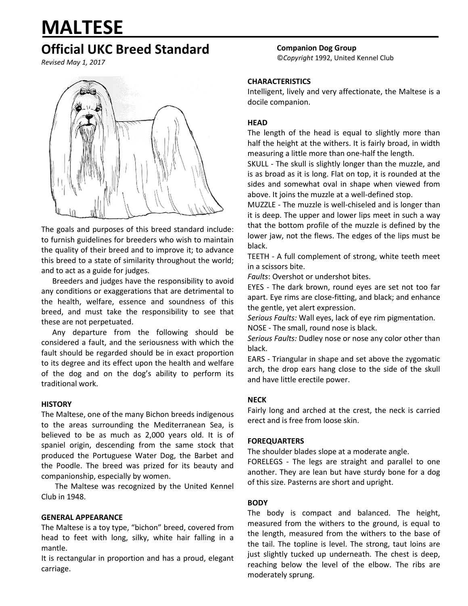# **MALTESE**

# **Official UKC Breed Standard**

*Revised May 1, 2017*



The goals and purposes of this breed standard include: to furnish guidelines for breeders who wish to maintain the quality of their breed and to improve it; to advance this breed to a state of similarity throughout the world; and to act as a guide for judges.

Breeders and judges have the responsibility to avoid any conditions or exaggerations that are detrimental to the health, welfare, essence and soundness of this breed, and must take the responsibility to see that these are not perpetuated.

Any departure from the following should be considered a fault, and the seriousness with which the fault should be regarded should be in exact proportion to its degree and its effect upon the health and welfare of the dog and on the dog's ability to perform its traditional work.

# **HISTORY**

The Maltese, one of the many Bichon breeds indigenous to the areas surrounding the Mediterranean Sea, is believed to be as much as 2,000 years old. It is of spaniel origin, descending from the same stock that produced the Portuguese Water Dog, the Barbet and the Poodle. The breed was prized for its beauty and companionship, especially by women.

The Maltese was recognized by the United Kennel Club in 1948.

# **GENERAL APPEARANCE**

The Maltese is a toy type, "bichon" breed, covered from head to feet with long, silky, white hair falling in a mantle.

It is rectangular in proportion and has a proud, elegant carriage.

**Companion Dog Group** ©*Copyright* 1992, United Kennel Club

# **CHARACTERISTICS**

Intelligent, lively and very affectionate, the Maltese is a docile companion.

# **HEAD**

The length of the head is equal to slightly more than half the height at the withers. It is fairly broad, in width measuring a little more than one-half the length.

SKULL - The skull is slightly longer than the muzzle, and is as broad as it is long. Flat on top, it is rounded at the sides and somewhat oval in shape when viewed from above. It joins the muzzle at a well-defined stop.

MUZZLE - The muzzle is well-chiseled and is longer than it is deep. The upper and lower lips meet in such a way that the bottom profile of the muzzle is defined by the lower jaw, not the flews. The edges of the lips must be black.

TEETH - A full complement of strong, white teeth meet in a scissors bite.

*Faults*: Overshot or undershot bites.

EYES - The dark brown, round eyes are set not too far apart. Eye rims are close-fitting, and black; and enhance the gentle, yet alert expression.

*Serious Faults:* Wall eyes, lack of eye rim pigmentation. NOSE - The small, round nose is black.

*Serious Faults:* Dudley nose or nose any color other than black.

EARS - Triangular in shape and set above the zygomatic arch, the drop ears hang close to the side of the skull and have little erectile power.

## **NECK**

Fairly long and arched at the crest, the neck is carried erect and is free from loose skin.

## **FOREQUARTERS**

The shoulder blades slope at a moderate angle.

FORELEGS - The legs are straight and parallel to one another. They are lean but have sturdy bone for a dog of this size. Pasterns are short and upright.

# **BODY**

The body is compact and balanced. The height, measured from the withers to the ground, is equal to the length, measured from the withers to the base of the tail. The topline is level. The strong, taut loins are just slightly tucked up underneath. The chest is deep, reaching below the level of the elbow. The ribs are moderately sprung.